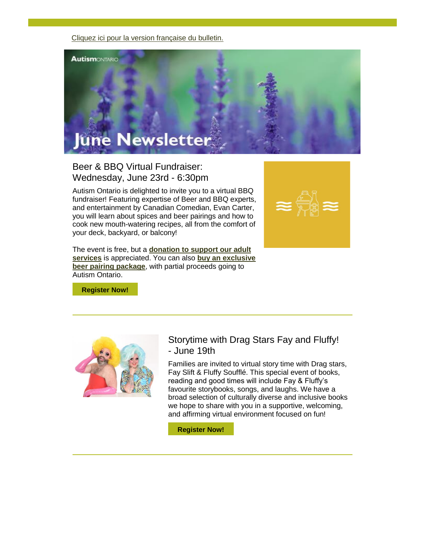[Cliquez ici pour la version française du bulletin.](https://www.autismontario.com/civicrm/mailing/view?id=819&reset=1)



Beer & BBQ Virtual Fundraiser: Wednesday, June 23rd - 6:30pm

Autism Ontario is delighted to invite you to a virtual BBQ fundraiser! Featuring expertise of Beer and BBQ experts, and entertainment by Canadian Comedian, Evan Carter, you will learn about spices and beer pairings and how to cook new mouth-watering recipes, all from the comfort of your deck, backyard, or balcony!

The event is free, but a **[donation to support our adult](https://www.autismontario.com/civicrm/mailing/url?u=7616&qid=1391603)  [services](https://www.autismontario.com/civicrm/mailing/url?u=7616&qid=1391603)** is appreciated. You can also **[buy an exclusive](https://www.autismontario.com/civicrm/mailing/url?u=7617&qid=1391603)  [beer pairing](https://www.autismontario.com/civicrm/mailing/url?u=7617&qid=1391603) package**, with partial proceeds going to Autism Ontario.



**[Register Now!](https://www.autismontario.com/civicrm/mailing/url?u=7618&qid=1391603)**



#### Storytime with Drag Stars Fay and Fluffy! - June 19th

Families are invited to virtual story time with Drag stars, Fay Slift & Fluffy Soufflé. This special event of books, reading and good times will include Fay & Fluffy's favourite storybooks, songs, and laughs. We have a broad selection of culturally diverse and inclusive books we hope to share with you in a supportive, welcoming, and affirming virtual environment focused on fun!

**[Register Now!](https://www.autismontario.com/civicrm/mailing/url?u=7619&qid=1391603)**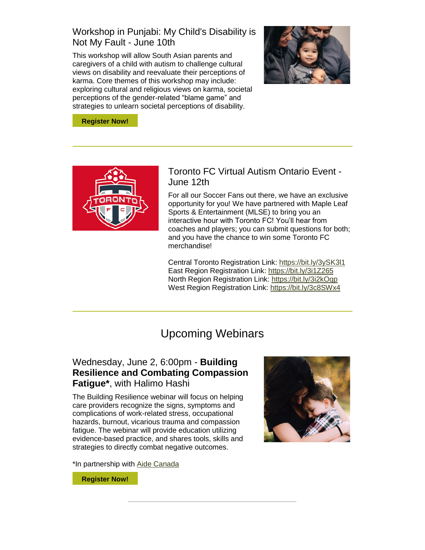## Workshop in Punjabi: My Child's Disability is Not My Fault - June 10th

This workshop will allow South Asian parents and caregivers of a child with autism to challenge cultural views on disability and reevaluate their perceptions of karma. Core themes of this workshop may include: exploring cultural and religious views on karma, societal perceptions of the gender-related "blame game" and strategies to unlearn societal perceptions of disability.



**[Register Now!](https://www.autismontario.com/civicrm/mailing/url?u=7620&qid=1391603)**



# Toronto FC Virtual Autism Ontario Event - June 12th

For all our Soccer Fans out there, we have an exclusive opportunity for you! We have partnered with Maple Leaf Sports & Entertainment (MLSE) to bring you an interactive hour with Toronto FC! You'll hear from coaches and players; you can submit questions for both; and you have the chance to win some Toronto FC merchandise!

Central Toronto Registration Link: [https://bit.ly/3ySK3l1](https://www.autismontario.com/civicrm/mailing/url?u=7621&qid=1391603) East Region Registration Link: [https://bit.ly/3i1Z265](https://www.autismontario.com/civicrm/mailing/url?u=7622&qid=1391603) North Region Registration Link: [https://bit.ly/3i2kOqp](https://www.autismontario.com/civicrm/mailing/url?u=7623&qid=1391603) West Region Registration Link: [https://bit.ly/3c8SWx4](https://www.autismontario.com/civicrm/mailing/url?u=7624&qid=1391603)

# Upcoming Webinars

# Wednesday, June 2, 6:00pm - **Building Resilience and Combating Compassion Fatigue\***, with Halimo Hashi

The Building Resilience webinar will focus on helping care providers recognize the signs, symptoms and complications of work-related stress, occupational hazards, burnout, vicarious trauma and compassion fatigue. The webinar will provide education utilizing evidence-based practice, and shares tools, skills and strategies to directly combat negative outcomes.



\*In partnership with [Aide Canada](https://www.autismontario.com/civicrm/mailing/url?u=7625&qid=1391603)

**[Register Now!](https://www.autismontario.com/civicrm/mailing/url?u=7626&qid=1391603)**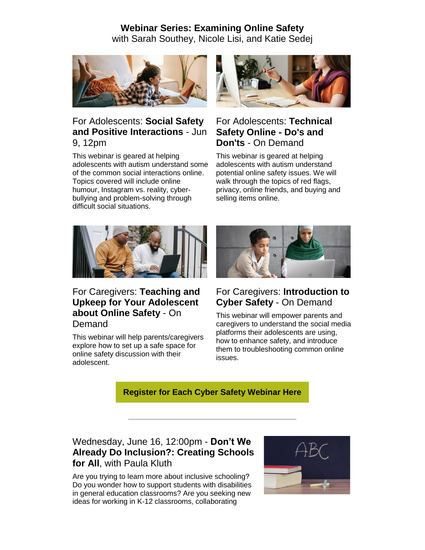#### **Webinar Series: Examining Online Safety** with Sarah Southey, Nicole Lisi, and Katie Sedej



#### For Adolescents: **Social Safety and Positive Interactions** - Jun 9, 12pm

This webinar is geared at helping adolescents with autism understand some of the common social interactions online. Topics covered will include online humour, Instagram vs. reality, cyberbullying and problem-solving through difficult social situations.



# For Adolescents: **Technical Safety Online - Do's and Don'ts** - On Demand

This webinar is geared at helping adolescents with autism understand potential online safety issues. We will walk through the topics of red flags, privacy, online friends, and buying and selling items online.



### For Caregivers: **Teaching and Upkeep for Your Adolescent about Online Safety** - On Demand

This webinar will help parents/caregivers explore how to set up a safe space for online safety discussion with their adolescent.



# For Caregivers: **Introduction to Cyber Safety** - On Demand

This webinar will empower parents and caregivers to understand the social media platforms their adolescents are using, how to enhance safety, and introduce them to troubleshooting common online issues.

**[Register for Each Cyber Safety Webinar Here](https://www.autismontario.com/civicrm/mailing/url?u=7627&qid=1391603)**

## Wednesday, June 16, 12:00pm - **Don't We Already Do Inclusion?: Creating Schools for All**, with Paula Kluth

Are you trying to learn more about inclusive schooling? Do you wonder how to support students with disabilities in general education classrooms? Are you seeking new ideas for working in K-12 classrooms, collaborating

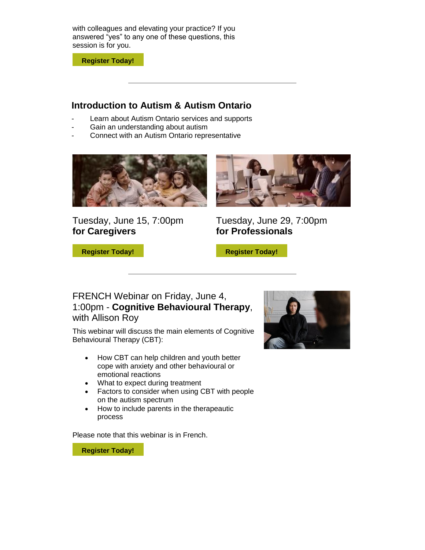with colleagues and elevating your practice? If you answered "yes" to any one of these questions, this session is for you.

**[Register Today!](https://www.autismontario.com/civicrm/mailing/url?u=7628&qid=1391603)**

#### **Introduction to Autism & Autism Ontario**

- Learn about Autism Ontario services and supports
- Gain an understanding about autism
- Connect with an Autism Ontario representative



Tuesday, June 15, 7:00pm **for Caregivers**

**[Register Today!](https://www.autismontario.com/civicrm/mailing/url?u=7630&qid=1391603)**



Tuesday, June 29, 7:00pm **for Professionals**

**[Register Today!](https://www.autismontario.com/civicrm/mailing/url?u=7631&qid=1391603)**

#### FRENCH Webinar on Friday, June 4, 1:00pm - **Cognitive Behavioural Therapy**, with Allison Roy

This webinar will discuss the main elements of Cognitive Behavioural Therapy (CBT):

- How CBT can help children and youth better cope with anxiety and other behavioural or emotional reactions
- What to expect during treatment
- Factors to consider when using CBT with people on the autism spectrum
- How to include parents in the therapeautic process

Please note that this webinar is in French.

**[Register Today!](https://www.autismontario.com/civicrm/mailing/url?u=7632&qid=1391603)**

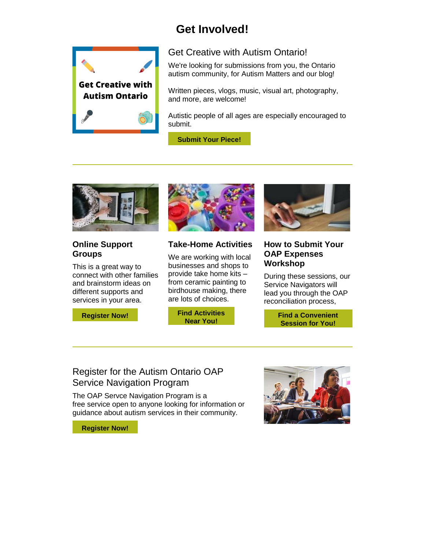# **Get Involved!**



#### Get Creative with Autism Ontario!

We're looking for submissions from you, the Ontario autism community, for Autism Matters and our blog!

Written pieces, vlogs, music, visual art, photography, and more, are welcome!

Autistic people of all ages are especially encouraged to submit.

**[Submit Your Piece!](https://www.autismontario.com/civicrm/mailing/url?u=7633&qid=1391603)**



#### **Online Support Groups**

This is a great way to connect with other families and brainstorm ideas on different supports and services in your area.





#### **Take-Home Activities**

We are working with local businesses and shops to provide take home kits – from ceramic painting to birdhouse making, there are lots of choices.

> **[Find Activities](https://www.autismontario.com/civicrm/mailing/url?u=7635&qid=1391603)  [Near You!](https://www.autismontario.com/civicrm/mailing/url?u=7635&qid=1391603)**

**How to Submit Your** 

# **OAP Expenses Workshop**

During these sessions, our Service Navigators will lead you through the OAP reconciliation process,

> **[Find a Convenient](https://www.autismontario.com/civicrm/mailing/url?u=7636&qid=1391603)  [Session for You!](https://www.autismontario.com/civicrm/mailing/url?u=7636&qid=1391603)**

# Register for the Autism Ontario OAP Service Navigation Program

The OAP Servce Navigation Program is a free service open to anyone looking for information or guidance about autism services in their community.

**[Register Now!](https://www.autismontario.com/civicrm/mailing/url?u=7637&qid=1391603)**